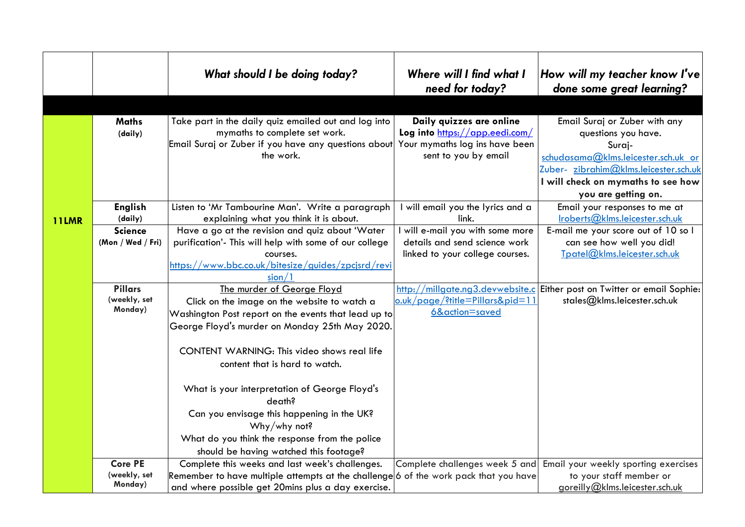|              |                                                                  | What should I be doing today?                                                                                                                                                                                                                                                                                                                                                            | Where will I find what I<br>need for today?                                                                                                      | How will my teacher know I've<br>done some great learning?                                                                                                                                 |
|--------------|------------------------------------------------------------------|------------------------------------------------------------------------------------------------------------------------------------------------------------------------------------------------------------------------------------------------------------------------------------------------------------------------------------------------------------------------------------------|--------------------------------------------------------------------------------------------------------------------------------------------------|--------------------------------------------------------------------------------------------------------------------------------------------------------------------------------------------|
|              | <b>Maths</b><br>(daily)                                          | Take part in the daily quiz emailed out and log into<br>mymaths to complete set work.<br>Email Suraj or Zuber if you have any questions about<br>the work.                                                                                                                                                                                                                               | Daily quizzes are online<br>Log into https://app.eedi.com/<br>Your mymaths log ins have been<br>sent to you by email                             | Email Suraj or Zuber with any<br>questions you have.<br>Suraj-<br>schudasama@klms.leicester.sch.uk or<br>Zuber- zibrahim@klms.leicester.sch.uk<br>I will check on mymaths to see how       |
| <b>11LMR</b> | <b>English</b><br>(daily)<br><b>Science</b><br>(Mon / Wed / Fri) | Listen to 'Mr Tambourine Man'. Write a paragraph<br>explaining what you think it is about.<br>Have a go at the revision and quiz about 'Water<br>purification'- This will help with some of our college<br>courses.<br><u>https://www.bbc.co.uk/bitesize/guides/zpcjsrd/revi</u>                                                                                                         | I will email you the lyrics and a<br>link.<br>will e-mail you with some more<br>details and send science work<br>linked to your college courses. | you are getting on.<br>Email your responses to me at<br>Iroberts@klms.leicester.sch.uk<br>E-mail me your score out of 10 so I<br>can see how well you did!<br>Tpatel@klms.leicester.sch.uk |
|              | <b>Pillars</b><br>(weekly, set<br>Monday)                        | sion/1<br>The murder of George Floyd<br>Click on the image on the website to watch a<br>Washington Post report on the events that lead up to<br>George Floyd's murder on Monday 25th May 2020.<br>CONTENT WARNING: This video shows real life<br>content that is hard to watch.<br>What is your interpretation of George Floyd's<br>death?<br>Can you envisage this happening in the UK? | o.uk/page/?title=Pillars&pid=11<br>6&action=saved                                                                                                | http://millgate.ng3.devwebsite.c Either post on Twitter or email Sophie:<br>stales@klms.leicester.sch.uk                                                                                   |
|              | <b>Core PE</b><br>(weekly, set<br>Monday)                        | Why/why not?<br>What do you think the response from the police<br>should be having watched this footage?<br>Complete this weeks and last week's challenges.<br>Remember to have multiple attempts at the challenge 6 of the work pack that you have<br>and where possible get 20mins plus a day exercise.                                                                                | Complete challenges week 5 and                                                                                                                   | Email your weekly sporting exercises<br>to your staff member or<br>goreilly@klms.leicester.sch.uk                                                                                          |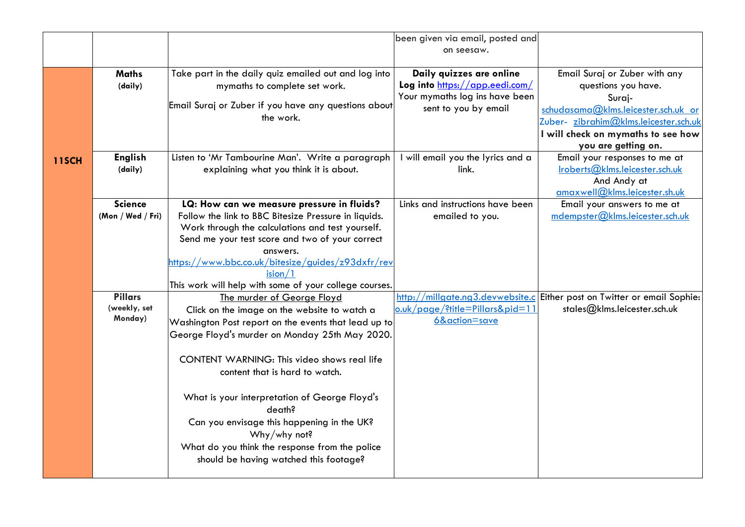|              |                           |                                                                                                    | been given via email, posted and                           |                                                                                                          |
|--------------|---------------------------|----------------------------------------------------------------------------------------------------|------------------------------------------------------------|----------------------------------------------------------------------------------------------------------|
|              |                           |                                                                                                    | on seesaw.                                                 |                                                                                                          |
|              | <b>Maths</b><br>(daily)   | Take part in the daily quiz emailed out and log into<br>mymaths to complete set work.              | Daily quizzes are online<br>Log into https://app.eedi.com/ | Email Suraj or Zuber with any<br>questions you have.                                                     |
|              |                           | Email Suraj or Zuber if you have any questions about<br>the work.                                  | Your mymaths log ins have been<br>sent to you by email     | Suraj-<br>schudasama@klms.leicester.sch.uk or<br>Zuber- zibrahim@klms.leicester.sch.uk                   |
|              |                           |                                                                                                    |                                                            | I will check on mymaths to see how                                                                       |
|              |                           |                                                                                                    |                                                            | you are getting on.                                                                                      |
| <b>11SCH</b> | <b>English</b><br>(daily) | Listen to 'Mr Tambourine Man'. Write a paragraph<br>explaining what you think it is about.         | I will email you the lyrics and a<br>link.                 | Email your responses to me at<br>Iroberts@klms.leicester.sch.uk<br>And Andy at                           |
|              | <b>Science</b>            |                                                                                                    |                                                            | amaxwell@klms.leicester.sh.uk                                                                            |
|              | (Mon / Wed / Fri)         | LQ: How can we measure pressure in fluids?<br>Follow the link to BBC Bitesize Pressure in liquids. | Links and instructions have been<br>emailed to you.        | Email your answers to me at<br>mdempster@klms. leicester.sch.uk                                          |
|              |                           | Work through the calculations and test yourself.                                                   |                                                            |                                                                                                          |
|              |                           | Send me your test score and two of your correct                                                    |                                                            |                                                                                                          |
|              |                           | answers.                                                                                           |                                                            |                                                                                                          |
|              |                           | https://www.bbc.co.uk/bitesize/guides/z93dxfr/rev                                                  |                                                            |                                                                                                          |
|              |                           | ision/1                                                                                            |                                                            |                                                                                                          |
|              | <b>Pillars</b>            | This work will help with some of your college courses.                                             |                                                            |                                                                                                          |
|              | (weekly, set              | The murder of George Floyd<br>Click on the image on the website to watch a                         | <u>o.uk/page/?title=Pillars&amp;pid=11</u>                 | http://millgate.ng3.devwebsite.c Either post on Twitter or email Sophie:<br>stales@klms.leicester.sch.uk |
|              | Monday)                   | Washington Post report on the events that lead up to                                               | 6&action=save                                              |                                                                                                          |
|              |                           | George Floyd's murder on Monday 25th May 2020.                                                     |                                                            |                                                                                                          |
|              |                           | CONTENT WARNING: This video shows real life<br>content that is hard to watch.                      |                                                            |                                                                                                          |
|              |                           | What is your interpretation of George Floyd's<br>death?                                            |                                                            |                                                                                                          |
|              |                           | Can you envisage this happening in the UK?<br>Why/why not?                                         |                                                            |                                                                                                          |
|              |                           | What do you think the response from the police<br>should be having watched this footage?           |                                                            |                                                                                                          |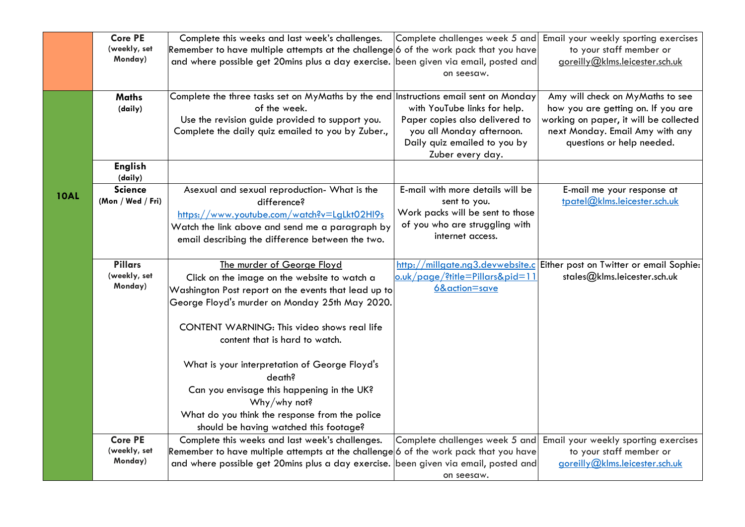| <b>Core PE</b><br>Complete this weeks and last week's challenges.<br>Complete challenges week 5 and                                                                     | Email your weekly sporting exercises |
|-------------------------------------------------------------------------------------------------------------------------------------------------------------------------|--------------------------------------|
| (weekly, set<br>Remember to have multiple attempts at the challenge 6 of the work pack that you have<br>to your staff member or                                         |                                      |
| Monday)<br>goreilly@klms.leicester.sch.uk<br>and where possible get 20mins plus a day exercise. been given via email, posted and                                        |                                      |
| on seesaw.                                                                                                                                                              |                                      |
|                                                                                                                                                                         |                                      |
| Amy will check on MyMaths to see<br><b>Maths</b><br>Complete the three tasks set on MyMaths by the end Instructions email sent on Monday                                |                                      |
| of the week.<br>with YouTube links for help.<br>how you are getting on. If you are<br>(daily)                                                                           |                                      |
| Use the revision guide provided to support you.<br>Paper copies also delivered to<br>working on paper, it will be collected                                             |                                      |
| Complete the daily quiz emailed to you by Zuber.,<br>you all Monday afternoon.<br>next Monday. Email Amy with any                                                       |                                      |
| Daily quiz emailed to you by<br>questions or help needed.                                                                                                               |                                      |
| Zuber every day.                                                                                                                                                        |                                      |
| <b>English</b>                                                                                                                                                          |                                      |
| (daily)<br><b>Science</b><br>E-mail with more details will be<br>Asexual and sexual reproduction- What is the<br>E-mail me your response at                             |                                      |
| <b>10AL</b><br>tpatel@klms.leicester.sch.uk<br>(Mon / Wed / Fri)<br>difference?<br>sent to you.                                                                         |                                      |
| Work packs will be sent to those<br>https://www.youtube.com/watch?v=LgLkt02Hl9s                                                                                         |                                      |
| of you who are struggling with<br>Watch the link above and send me a paragraph by                                                                                       |                                      |
| internet access.                                                                                                                                                        |                                      |
| email describing the difference between the two.                                                                                                                        |                                      |
| <b>Pillars</b><br>The murder of George Floyd<br>http://millgate.ng3.devwebsite.c Either post on Twitter or email Sophie:                                                |                                      |
| (weekly, set<br>o.uk/page/?title=Pillars&pid=11<br>stales@klms.leicester.sch.uk<br>Click on the image on the website to watch a                                         |                                      |
| Monday)<br>6&action=save                                                                                                                                                |                                      |
| Washington Post report on the events that lead up to<br>George Floyd's murder on Monday 25th May 2020.                                                                  |                                      |
|                                                                                                                                                                         |                                      |
| CONTENT WARNING: This video shows real life                                                                                                                             |                                      |
| content that is hard to watch.                                                                                                                                          |                                      |
|                                                                                                                                                                         |                                      |
| What is your interpretation of George Floyd's                                                                                                                           |                                      |
| death?                                                                                                                                                                  |                                      |
| Can you envisage this happening in the UK?                                                                                                                              |                                      |
| Why/why not?                                                                                                                                                            |                                      |
| What do you think the response from the police                                                                                                                          |                                      |
| should be having watched this footage?                                                                                                                                  |                                      |
| <b>Core PE</b><br>Complete this weeks and last week's challenges.<br>Complete challenges week 5 and                                                                     |                                      |
| Email your weekly sporting exercises<br>(weekly, set<br>Remember to have multiple attempts at the challenge 6 of the work pack that you have<br>to your staff member or |                                      |
| Monday)<br>and where possible get 20mins plus a day exercise. been given via email, posted and<br>goreilly@klms.leicester.sch.uk                                        |                                      |
|                                                                                                                                                                         |                                      |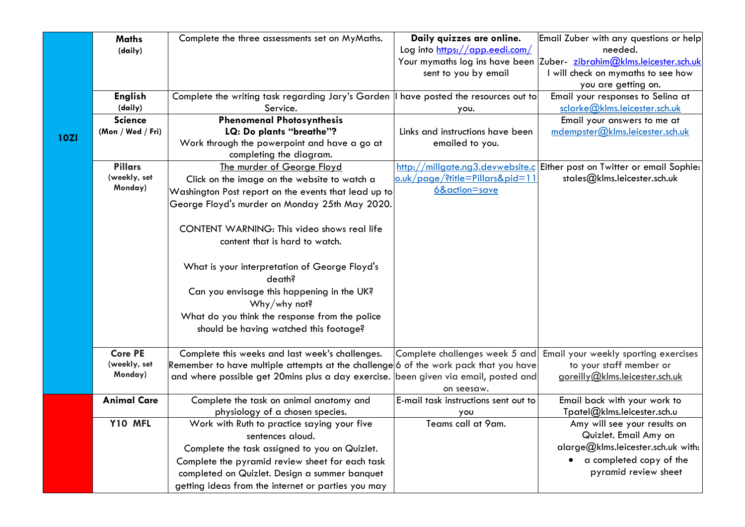|             | <b>Maths</b>       | Complete the three assessments set on MyMaths.                                        | Daily quizzes are online.            | Email Zuber with any questions or help                                   |
|-------------|--------------------|---------------------------------------------------------------------------------------|--------------------------------------|--------------------------------------------------------------------------|
|             | (daily)            |                                                                                       | Log into https://app.eedi.com/       | needed.                                                                  |
|             |                    |                                                                                       |                                      | Your mymaths log ins have been Zuber- zibrahim@klms.leicester.sch.uk     |
|             |                    |                                                                                       | sent to you by email                 | I will check on mymaths to see how                                       |
|             |                    |                                                                                       |                                      | you are getting on.                                                      |
|             | <b>English</b>     | Complete the writing task regarding Jary's Garden    have posted the resources out to |                                      | Email your responses to Selina at                                        |
|             | (daily)            | Service.                                                                              | you.                                 | sclarke@klms.leicester.sch.uk                                            |
|             | <b>Science</b>     | <b>Phenomenal Photosynthesis</b>                                                      |                                      | Email your answers to me at                                              |
| <b>10ZI</b> | (Mon / Wed / Fri)  | LQ: Do plants "breathe"?                                                              | Links and instructions have been     | mdempster@klms.leicester.sch.uk                                          |
|             |                    | Work through the powerpoint and have a go at                                          | emailed to you.                      |                                                                          |
|             |                    | completing the diagram.                                                               |                                      |                                                                          |
|             | <b>Pillars</b>     | The murder of George Floyd                                                            |                                      | http://millgate.ng3.devwebsite.c Either post on Twitter or email Sophie: |
|             | (weekly, set       | Click on the image on the website to watch a                                          | o.uk/page/?title=Pillars&pid=11      | stales@klms.leicester.sch.uk                                             |
|             | Monday)            | Washington Post report on the events that lead up to                                  | 6&action=save                        |                                                                          |
|             |                    | George Floyd's murder on Monday 25th May 2020.                                        |                                      |                                                                          |
|             |                    |                                                                                       |                                      |                                                                          |
|             |                    | CONTENT WARNING: This video shows real life                                           |                                      |                                                                          |
|             |                    | content that is hard to watch.                                                        |                                      |                                                                          |
|             |                    |                                                                                       |                                      |                                                                          |
|             |                    | What is your interpretation of George Floyd's                                         |                                      |                                                                          |
|             |                    | death?                                                                                |                                      |                                                                          |
|             |                    | Can you envisage this happening in the UK?                                            |                                      |                                                                          |
|             |                    | Why/why not?                                                                          |                                      |                                                                          |
|             |                    | What do you think the response from the police                                        |                                      |                                                                          |
|             |                    | should be having watched this footage?                                                |                                      |                                                                          |
|             |                    |                                                                                       |                                      |                                                                          |
|             | <b>Core PE</b>     | Complete this weeks and last week's challenges.                                       | Complete challenges week 5 and       | Email your weekly sporting exercises                                     |
|             | (weekly, set       | Remember to have multiple attempts at the challenge 6 of the work pack that you have  |                                      | to your staff member or                                                  |
|             | Monday)            | and where possible get 20mins plus a day exercise. been given via email, posted and   |                                      | goreilly@klms.leicester.sch.uk                                           |
|             |                    |                                                                                       | on seesaw.                           |                                                                          |
|             | <b>Animal Care</b> | Complete the task on animal anatomy and                                               | E-mail task instructions sent out to | Email back with your work to                                             |
|             |                    | physiology of a chosen species.                                                       | you                                  | Tpatel@klms.leicester.sch.u                                              |
|             | Y10 MFL            | Work with Ruth to practice saying your five                                           | Teams call at 9am.                   | Amy will see your results on                                             |
|             |                    | sentences aloud.                                                                      |                                      | Quizlet. Email Amy on                                                    |
|             |                    | Complete the task assigned to you on Quizlet.                                         |                                      | alarge@klms.leicester.sch.uk with:                                       |
|             |                    | Complete the pyramid review sheet for each task                                       |                                      | a completed copy of the<br>$\bullet$                                     |
|             |                    | completed on Quizlet. Design a summer banquet                                         |                                      | pyramid review sheet                                                     |
|             |                    | getting ideas from the internet or parties you may                                    |                                      |                                                                          |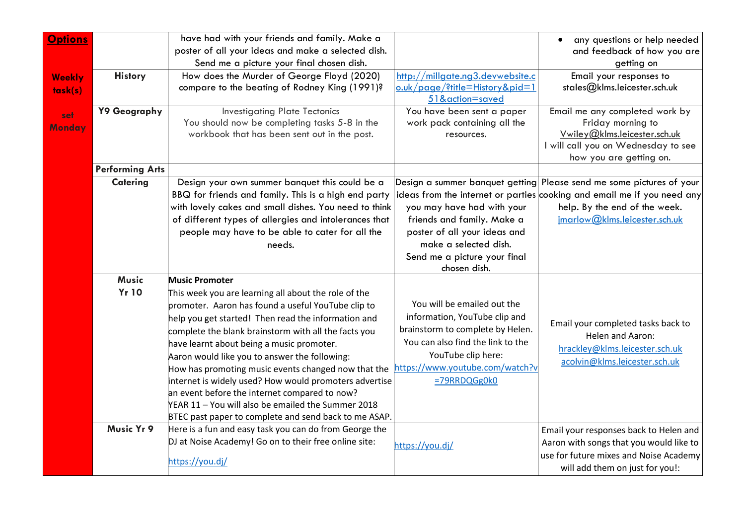| <b>Options</b>           |                              | have had with your friends and family. Make a<br>poster of all your ideas and make a selected dish.<br>Send me a picture your final chosen dish.                                                                                                                                                                                                                                                                                                                                                                                                                                                                                  |                                                                                                                                                                                                                | any questions or help needed<br>$\bullet$<br>and feedback of how you are<br>getting on                                                                                                                            |
|--------------------------|------------------------------|-----------------------------------------------------------------------------------------------------------------------------------------------------------------------------------------------------------------------------------------------------------------------------------------------------------------------------------------------------------------------------------------------------------------------------------------------------------------------------------------------------------------------------------------------------------------------------------------------------------------------------------|----------------------------------------------------------------------------------------------------------------------------------------------------------------------------------------------------------------|-------------------------------------------------------------------------------------------------------------------------------------------------------------------------------------------------------------------|
| <b>Weekly</b><br>task(s) | <b>History</b>               | How does the Murder of George Floyd (2020)<br>compare to the beating of Rodney King (1991)?                                                                                                                                                                                                                                                                                                                                                                                                                                                                                                                                       | http://millgate.ng3.devwebsite.c<br>o.uk/page/?title=History&pid=1<br>51&action=saved                                                                                                                          | Email your responses to<br>stales@klms.leicester.sch.uk                                                                                                                                                           |
| set<br>Monday            | Y9 Geography                 | <b>Investigating Plate Tectonics</b><br>You should now be completing tasks 5-8 in the<br>workbook that has been sent out in the post.                                                                                                                                                                                                                                                                                                                                                                                                                                                                                             | You have been sent a paper<br>work pack containing all the<br>resources.                                                                                                                                       | Email me any completed work by<br>Friday morning to<br>Vwiley@klms.leicester.sch.uk<br>I will call you on Wednesday to see<br>how you are getting on.                                                             |
|                          | <b>Performing Arts</b>       |                                                                                                                                                                                                                                                                                                                                                                                                                                                                                                                                                                                                                                   |                                                                                                                                                                                                                |                                                                                                                                                                                                                   |
|                          | <b>Catering</b>              | Design your own summer banquet this could be a<br>BBQ for friends and family. This is a high end party<br>with lovely cakes and small dishes. You need to think<br>of different types of allergies and intolerances that<br>people may have to be able to cater for all the<br>needs.                                                                                                                                                                                                                                                                                                                                             | you may have had with your<br>friends and family. Make a<br>poster of all your ideas and<br>make a selected dish.<br>Send me a picture your final<br>chosen dish.                                              | Design a summer banquet getting Please send me some pictures of your<br>ideas from the internet or parties cooking and email me if you need any<br>help. By the end of the week.<br>jmarlow@klms.leicester.sch.uk |
|                          | <b>Music</b><br><b>Yr 10</b> | <b>Music Promoter</b><br>This week you are learning all about the role of the<br>promoter. Aaron has found a useful YouTube clip to<br>help you get started! Then read the information and<br>complete the blank brainstorm with all the facts you<br>have learnt about being a music promoter.<br>Aaron would like you to answer the following:<br>How has promoting music events changed now that the<br>internet is widely used? How would promoters advertise<br>an event before the internet compared to now?<br>YEAR 11 - You will also be emailed the Summer 2018<br>BTEC past paper to complete and send back to me ASAP. | You will be emailed out the<br>information, YouTube clip and<br>brainstorm to complete by Helen.<br>You can also find the link to the<br>YouTube clip here:<br>https://www.youtube.com/watch?v<br>=79RRDQGg0k0 | Email your completed tasks back to<br>Helen and Aaron:<br>hrackley@klms.leicester.sch.uk<br>acolvin@klms.leicester.sch.uk                                                                                         |
|                          | Music Yr 9                   | Here is a fun and easy task you can do from George the<br>DJ at Noise Academy! Go on to their free online site:<br>https://you.dj/                                                                                                                                                                                                                                                                                                                                                                                                                                                                                                | https://you.dj/                                                                                                                                                                                                | Email your responses back to Helen and<br>Aaron with songs that you would like to<br>use for future mixes and Noise Academy<br>will add them on just for you!:                                                    |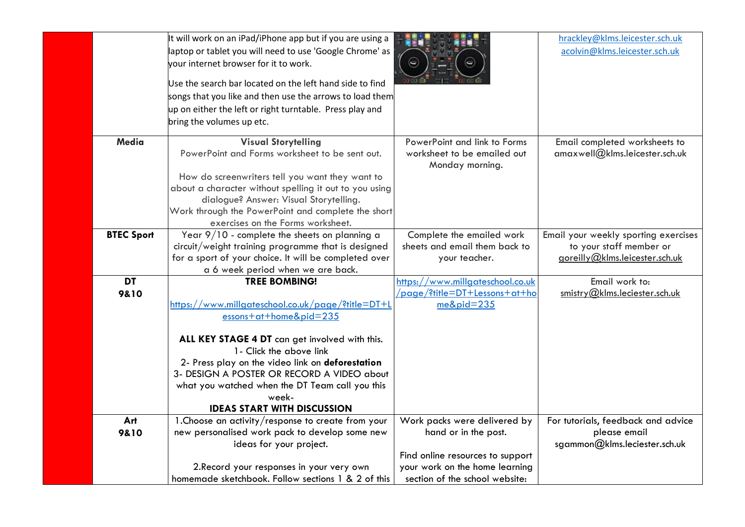|                   | It will work on an iPad/iPhone app but if you are using a<br>laptop or tablet you will need to use 'Google Chrome' as<br>your internet browser for it to work.<br>Use the search bar located on the left hand side to find<br>songs that you like and then use the arrows to load them<br>up on either the left or right turntable. Press play and<br>bring the volumes up etc.        |                                                                                                                                                              | hrackley@klms.leicester.sch.uk<br>acolvin@klms.leicester.sch.uk                                   |
|-------------------|----------------------------------------------------------------------------------------------------------------------------------------------------------------------------------------------------------------------------------------------------------------------------------------------------------------------------------------------------------------------------------------|--------------------------------------------------------------------------------------------------------------------------------------------------------------|---------------------------------------------------------------------------------------------------|
| Media             | <b>Visual Storytelling</b><br>PowerPoint and Forms worksheet to be sent out.<br>How do screenwriters tell you want they want to<br>about a character without spelling it out to you using<br>dialogue? Answer: Visual Storytelling.<br>Work through the PowerPoint and complete the short<br>exercises on the Forms worksheet.                                                         | PowerPoint and link to Forms<br>worksheet to be emailed out<br>Monday morning.                                                                               | Email completed worksheets to<br>amaxwell@klms.leicester.sch.uk                                   |
| <b>BTEC Sport</b> | Year $9/10$ - complete the sheets on planning a<br>circuit/weight training programme that is designed<br>for a sport of your choice. It will be completed over<br>a 6 week period when we are back.                                                                                                                                                                                    | Complete the emailed work<br>sheets and email them back to<br>your teacher.                                                                                  | Email your weekly sporting exercises<br>to your staff member or<br>goreilly@klms.leicester.sch.uk |
| <b>DT</b><br>9810 | <b>TREE BOMBING!</b><br>https://www.millgateschool.co.uk/page/?title=DT+L<br>$essons+at+home&pid=235$<br>ALL KEY STAGE 4 DT can get involved with this.<br>1- Click the above link<br>2- Press play on the video link on deforestation<br>3- DESIGN A POSTER OR RECORD A VIDEO about<br>what you watched when the DT Team call you this<br>week-<br><b>IDEAS START WITH DISCUSSION</b> | https://www.millgateschool.co.uk<br>/page/?title=DT+Lessons+at+ho<br>$me\&pid=235$                                                                           | Email work to:<br>smistry@klms.leciester.sch.uk                                                   |
| Art<br>9&10       | 1. Choose an activity/response to create from your<br>new personalised work pack to develop some new<br>ideas for your project.<br>2. Record your responses in your very own<br>homemade sketchbook. Follow sections 1 & 2 of this                                                                                                                                                     | Work packs were delivered by<br>hand or in the post.<br>Find online resources to support<br>your work on the home learning<br>section of the school website: | For tutorials, feedback and advice<br>please email<br>sgammon@klms.leciester.sch.uk               |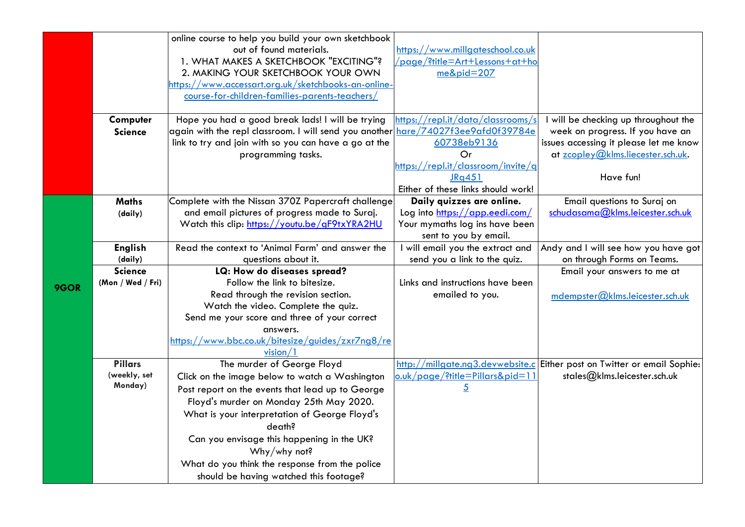|      |                         | online course to help you build your own sketchbook    |                                            |                                                                          |
|------|-------------------------|--------------------------------------------------------|--------------------------------------------|--------------------------------------------------------------------------|
|      |                         | out of found materials.                                | https://www.millgateschool.co.uk           |                                                                          |
|      |                         | 1. WHAT MAKES A SKETCHBOOK "EXCITING"?                 | <u>/page/?title=Art+Lessons+at+ho</u>      |                                                                          |
|      |                         | 2. MAKING YOUR SKETCHBOOK YOUR OWN                     | $me\&pid=207$                              |                                                                          |
|      |                         | https://www.accessart.org.uk/sketchbooks-an-online-    |                                            |                                                                          |
|      |                         | course-for-children-families-parents-teachers/         |                                            |                                                                          |
|      |                         |                                                        |                                            |                                                                          |
|      | Computer                | Hope you had a good break lads! I will be trying       | https://repl.it/data/classrooms/s          | I will be checking up throughout the                                     |
|      | <b>Science</b>          | again with the repl classroom. I will send you another | hare/74027f3ee9afd0f39784e                 | week on progress. If you have an                                         |
|      |                         | link to try and join with so you can have a go at the  | 60738eb9136                                | issues accessing it please let me know                                   |
|      |                         | programming tasks.                                     | Or                                         | at zcopley@klms.liecester.sch.uk.                                        |
|      |                         |                                                        | <u>https://repl.it/classroom/invite/q</u>  |                                                                          |
|      |                         |                                                        | JRq451                                     | Have fun!                                                                |
|      |                         |                                                        | Either of these links should work!         |                                                                          |
|      | <b>Maths</b>            | Complete with the Nissan 370Z Papercraft challenge     | Daily quizzes are online.                  | Email questions to Suraj on                                              |
|      | (daily)                 | and email pictures of progress made to Suraj.          | Log into https://app.eedi.com/             | schudasama@klms.leicester.sch.uk                                         |
|      |                         | Watch this clip: https://youtu.be/qF9txYRA2HU          | Your mymaths log ins have been             |                                                                          |
|      |                         |                                                        | sent to you by email.                      |                                                                          |
|      | <b>English</b>          | Read the context to 'Animal Farm' and answer the       | I will email you the extract and           | Andy and I will see how you have got                                     |
|      | (daily)                 | questions about it.                                    | send you a link to the quiz.               | on through Forms on Teams.                                               |
|      | <b>Science</b>          | LQ: How do diseases spread?                            |                                            | Email your answers to me at                                              |
| 9GOR | (Mon / Wed / Fri)       | Follow the link to bitesize.                           | Links and instructions have been           |                                                                          |
|      |                         | Read through the revision section.                     | emailed to you.                            | mdempster@klms.leicester.sch.uk                                          |
|      |                         | Watch the video. Complete the quiz.                    |                                            |                                                                          |
|      |                         | Send me your score and three of your correct           |                                            |                                                                          |
|      |                         | answers.                                               |                                            |                                                                          |
|      |                         | https://www.bbc.co.uk/bitesize/guides/zxr7ng8/re       |                                            |                                                                          |
|      |                         | vision/1                                               |                                            |                                                                          |
|      | <b>Pillars</b>          | The murder of George Floyd                             |                                            | http://millgate.ng3.devwebsite.c Either post on Twitter or email Sophie: |
|      | (weekly, set<br>Monday) | Click on the image below to watch a Washington         | <u>o.uk/page/?title=Pillars&amp;pid=11</u> | stales@klms.leicester.sch.uk                                             |
|      |                         | Post report on the events that lead up to George       | $\overline{5}$                             |                                                                          |
|      |                         | Floyd's murder on Monday 25th May 2020.                |                                            |                                                                          |
|      |                         | What is your interpretation of George Floyd's          |                                            |                                                                          |
|      |                         | death?                                                 |                                            |                                                                          |
|      |                         | Can you envisage this happening in the UK?             |                                            |                                                                          |
|      |                         | Why/why not?                                           |                                            |                                                                          |
|      |                         | What do you think the response from the police         |                                            |                                                                          |
|      |                         | should be having watched this footage?                 |                                            |                                                                          |
|      |                         |                                                        |                                            |                                                                          |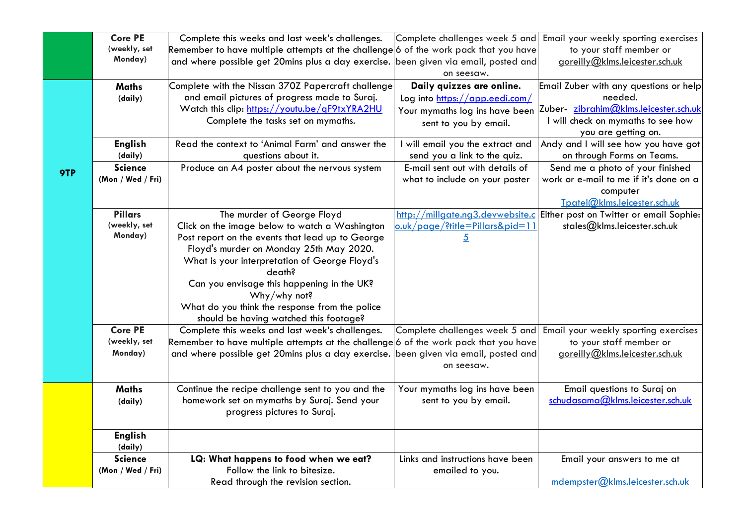|     | <b>Core PE</b>    | Complete this weeks and last week's challenges.                                      | Complete challenges week 5 and             | Email your weekly sporting exercises                                     |
|-----|-------------------|--------------------------------------------------------------------------------------|--------------------------------------------|--------------------------------------------------------------------------|
|     | (weekly, set      | Remember to have multiple attempts at the challenge 6 of the work pack that you have |                                            | to your staff member or                                                  |
|     | Monday)           | and where possible get 20mins plus a day exercise.                                   | been given via email, posted and           | goreilly@klms.leicester.sch.uk                                           |
|     |                   |                                                                                      | on seesaw.                                 |                                                                          |
|     | <b>Maths</b>      | Complete with the Nissan 370Z Papercraft challenge                                   | Daily quizzes are online.                  | Email Zuber with any questions or help                                   |
|     | (daily)           | and email pictures of progress made to Suraj.                                        | Log into https://app.eedi.com/             | needed.                                                                  |
|     |                   | Watch this clip: https://youtu.be/qF9txYRA2HU                                        | Your mymaths log ins have been             | Zuber- zibrahim@klms.leicester.sch.uk                                    |
|     |                   | Complete the tasks set on mymaths.                                                   | sent to you by email.                      | I will check on mymaths to see how                                       |
|     |                   |                                                                                      |                                            | you are getting on.                                                      |
|     | <b>English</b>    | Read the context to 'Animal Farm' and answer the                                     | I will email you the extract and           | Andy and I will see how you have got                                     |
|     | (daily)           | questions about it.                                                                  | send you a link to the quiz.               | on through Forms on Teams.                                               |
| 9TP | <b>Science</b>    | Produce an A4 poster about the nervous system                                        | E-mail sent out with details of            | Send me a photo of your finished                                         |
|     | (Mon / Wed / Fri) |                                                                                      | what to include on your poster             | work or e-mail to me if it's done on a                                   |
|     |                   |                                                                                      |                                            | computer                                                                 |
|     |                   |                                                                                      |                                            | Tpatel@klms.leicester.sch.uk                                             |
|     | <b>Pillars</b>    | The murder of George Floyd                                                           |                                            | http://millgate.ng3.devwebsite.c Either post on Twitter or email Sophie: |
|     | (weekly, set      | Click on the image below to watch a Washington                                       | <u>o.uk/page/?title=Pillars&amp;pid=11</u> | stales@klms.leicester.sch.uk                                             |
|     | Monday)           | Post report on the events that lead up to George                                     | $\overline{5}$                             |                                                                          |
|     |                   | Floyd's murder on Monday 25th May 2020.                                              |                                            |                                                                          |
|     |                   | What is your interpretation of George Floyd's                                        |                                            |                                                                          |
|     |                   | death?                                                                               |                                            |                                                                          |
|     |                   | Can you envisage this happening in the UK?                                           |                                            |                                                                          |
|     |                   | Why/why not?                                                                         |                                            |                                                                          |
|     |                   | What do you think the response from the police                                       |                                            |                                                                          |
|     |                   | should be having watched this footage?                                               |                                            |                                                                          |
|     | <b>Core PE</b>    | Complete this weeks and last week's challenges.                                      | Complete challenges week 5 and             | Email your weekly sporting exercises                                     |
|     | (weekly, set      | Remember to have multiple attempts at the challenge 6 of the work pack that you have |                                            | to your staff member or                                                  |
|     | Monday)           | and where possible get 20mins plus a day exercise.                                   | been given via email, posted and           | goreilly@klms.leicester.sch.uk                                           |
|     |                   |                                                                                      | on seesaw.                                 |                                                                          |
|     |                   |                                                                                      |                                            |                                                                          |
|     | <b>Maths</b>      | Continue the recipe challenge sent to you and the                                    | Your mymaths log ins have been             | Email questions to Suraj on                                              |
|     | (daily)           | homework set on mymaths by Suraj. Send your                                          | sent to you by email.                      | schudasama@klms.leicester.sch.uk                                         |
|     |                   | progress pictures to Suraj.                                                          |                                            |                                                                          |
|     |                   |                                                                                      |                                            |                                                                          |
|     | <b>English</b>    |                                                                                      |                                            |                                                                          |
|     | (daily)           |                                                                                      |                                            |                                                                          |
|     | <b>Science</b>    | LQ: What happens to food when we eat?                                                | Links and instructions have been           | Email your answers to me at                                              |
|     | (Mon / Wed / Fri) | Follow the link to bitesize.                                                         | emailed to you.                            |                                                                          |
|     |                   | Read through the revision section.                                                   |                                            | mdempster@klms.leicester.sch.uk                                          |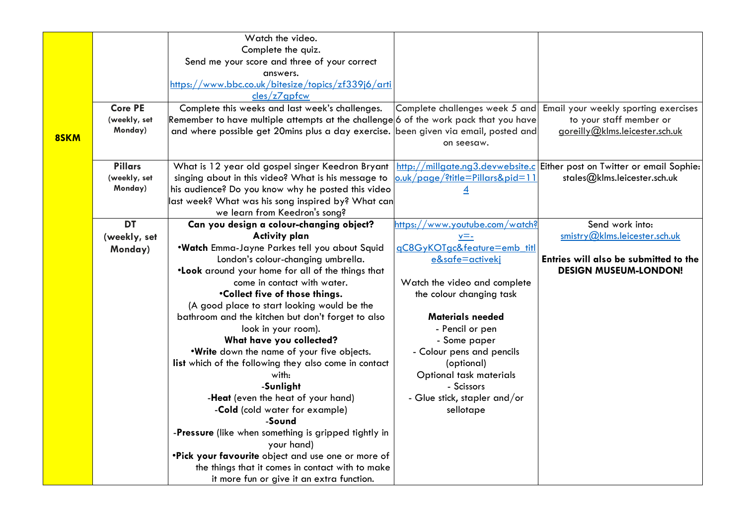|      |                | Watch the video.                                                                     |                                    |                                                                          |
|------|----------------|--------------------------------------------------------------------------------------|------------------------------------|--------------------------------------------------------------------------|
|      |                | Complete the quiz.                                                                   |                                    |                                                                          |
|      |                | Send me your score and three of your correct                                         |                                    |                                                                          |
|      |                | answers.                                                                             |                                    |                                                                          |
|      |                | https://www.bbc.co.uk/bitesize/topics/zf339j6/arti                                   |                                    |                                                                          |
|      |                | cles/z7qpfcw                                                                         |                                    |                                                                          |
|      | <b>Core PE</b> | Complete this weeks and last week's challenges.                                      | Complete challenges week 5 and     | Email your weekly sporting exercises                                     |
|      | (weekly, set   | Remember to have multiple attempts at the challenge 6 of the work pack that you have |                                    | to your staff member or                                                  |
|      | Monday)        | and where possible get 20mins plus a day exercise. been given via email, posted and  |                                    | goreilly@klms.leicester.sch.uk                                           |
| 8SKM |                |                                                                                      | on seesaw.                         |                                                                          |
|      |                |                                                                                      |                                    |                                                                          |
|      | <b>Pillars</b> | What is 12 year old gospel singer Keedron Bryant                                     |                                    | http://millgate.ng3.devwebsite.c Either post on Twitter or email Sophie: |
|      | (weekly, set   | singing about in this video? What is his message to                                  | $o.$ uk/page/?title=Pillars&pid=11 | stales@klms.leicester.sch.uk                                             |
|      | Monday)        | his audience? Do you know why he posted this video                                   | <u>4</u>                           |                                                                          |
|      |                | last week? What was his song inspired by? What can                                   |                                    |                                                                          |
|      |                | we learn from Keedron's song?                                                        |                                    |                                                                          |
|      | <b>DT</b>      | Can you design a colour-changing object?                                             | https://www.youtube.com/watch?     | Send work into:                                                          |
|      | (weekly, set   | <b>Activity plan</b>                                                                 | $v = -$                            | smistry@klms.leicester.sch.uk                                            |
|      | Monday)        | .Watch Emma-Jayne Parkes tell you about Squid                                        | gC8GyKOTgc&feature=emb_titl        |                                                                          |
|      |                | London's colour-changing umbrella.                                                   | e&safe=activeki                    | Entries will also be submitted to the                                    |
|      |                | .Look around your home for all of the things that                                    |                                    | <b>DESIGN MUSEUM-LONDON!</b>                                             |
|      |                | come in contact with water.                                                          | Watch the video and complete       |                                                                          |
|      |                | .Collect five of those things.                                                       | the colour changing task           |                                                                          |
|      |                | (A good place to start looking would be the                                          |                                    |                                                                          |
|      |                | bathroom and the kitchen but don't forget to also                                    | <b>Materials needed</b>            |                                                                          |
|      |                | look in your room).                                                                  | - Pencil or pen                    |                                                                          |
|      |                | What have you collected?                                                             | - Some paper                       |                                                                          |
|      |                | .Write down the name of your five objects.                                           | - Colour pens and pencils          |                                                                          |
|      |                | list which of the following they also come in contact                                | (optional)                         |                                                                          |
|      |                | with:                                                                                | Optional task materials            |                                                                          |
|      |                | -Sunlight                                                                            | - Scissors                         |                                                                          |
|      |                | -Heat (even the heat of your hand)                                                   | - Glue stick, stapler and/or       |                                                                          |
|      |                | -Cold (cold water for example)<br>-Sound                                             | sellotape                          |                                                                          |
|      |                | -Pressure (like when something is gripped tightly in                                 |                                    |                                                                          |
|      |                | your hand)                                                                           |                                    |                                                                          |
|      |                | .Pick your favourite object and use one or more of                                   |                                    |                                                                          |
|      |                | the things that it comes in contact with to make                                     |                                    |                                                                          |
|      |                | it more fun or give it an extra function.                                            |                                    |                                                                          |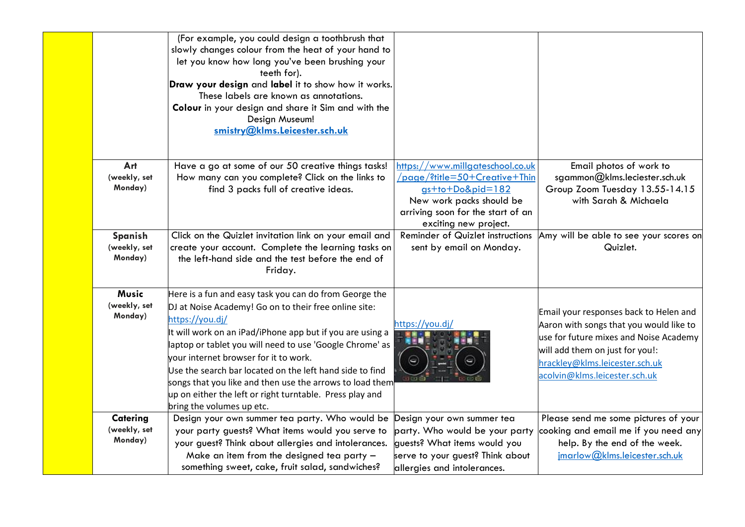|                                     | (For example, you could design a toothbrush that<br>slowly changes colour from the heat of your hand to<br>let you know how long you've been brushing your<br>teeth for).<br>Draw your design and label it to show how it works.<br>These labels are known as annotations.<br>Colour in your design and share it Sim and with the<br>Design Museum!<br>smistry@klms.Leicester.sch.uk                                                                                                                                  |                                                                                                                                                                                 |                                                                                                                                                                                                                                   |
|-------------------------------------|-----------------------------------------------------------------------------------------------------------------------------------------------------------------------------------------------------------------------------------------------------------------------------------------------------------------------------------------------------------------------------------------------------------------------------------------------------------------------------------------------------------------------|---------------------------------------------------------------------------------------------------------------------------------------------------------------------------------|-----------------------------------------------------------------------------------------------------------------------------------------------------------------------------------------------------------------------------------|
| Art<br>(weekly, set<br>Monday)      | Have a go at some of our 50 creative things tasks!<br>How many can you complete? Click on the links to<br>find 3 packs full of creative ideas.                                                                                                                                                                                                                                                                                                                                                                        | https://www.millgateschool.co.uk<br>/page/?title=50+Creative+Thin<br>gs+to+Do&pid=182<br>New work packs should be<br>arriving soon for the start of an<br>exciting new project. | Email photos of work to<br>sgammon@klms.leciester.sch.uk<br>Group Zoom Tuesday 13.55-14.15<br>with Sarah & Michaela                                                                                                               |
| Spanish<br>(weekly, set<br>Monday)  | Click on the Quizlet invitation link on your email and<br>create your account. Complete the learning tasks on<br>the left-hand side and the test before the end of<br>Friday.                                                                                                                                                                                                                                                                                                                                         | Reminder of Quizlet instructions<br>sent by email on Monday.                                                                                                                    | Amy will be able to see your scores on<br>Quizlet.                                                                                                                                                                                |
| Music<br>(weekly, set<br>Monday)    | Here is a fun and easy task you can do from George the<br>DJ at Noise Academy! Go on to their free online site:<br>https://you.dj/<br>It will work on an iPad/iPhone app but if you are using a<br>laptop or tablet you will need to use 'Google Chrome' as<br>your internet browser for it to work.<br>Use the search bar located on the left hand side to find<br>songs that you like and then use the arrows to load them<br>up on either the left or right turntable. Press play and<br>bring the volumes up etc. | https://you.dj/                                                                                                                                                                 | Email your responses back to Helen and<br>Aaron with songs that you would like to<br>use for future mixes and Noise Academy<br>will add them on just for you!:<br>hrackley@klms.leicester.sch.uk<br>acolvin@klms.leicester.sch.uk |
| Catering<br>(weekly, set<br>Monday) | Design your own summer tea party. Who would be<br>your party guests? What items would you serve to<br>your guest? Think about allergies and intolerances.<br>Make an item from the designed tea party -<br>something sweet, cake, fruit salad, sandwiches?                                                                                                                                                                                                                                                            | Design your own summer tea<br>party. Who would be your party<br>guests? What items would you<br>serve to your guest? Think about<br>allergies and intolerances.                 | Please send me some pictures of your<br>cooking and email me if you need any<br>help. By the end of the week.<br>imarlow@klms.leicester.sch.uk                                                                                    |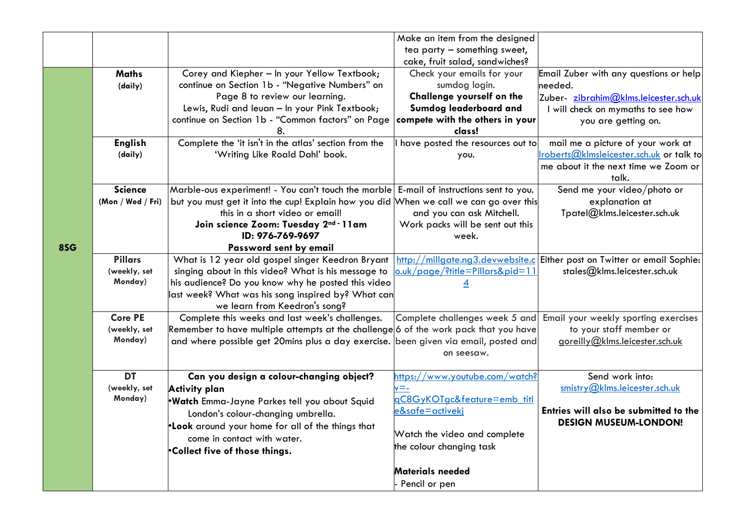|     |                         |                                                                                                          | Make an item from the designed   |                                                                          |
|-----|-------------------------|----------------------------------------------------------------------------------------------------------|----------------------------------|--------------------------------------------------------------------------|
|     |                         |                                                                                                          | tea party - something sweet,     |                                                                          |
|     |                         |                                                                                                          | cake, fruit salad, sandwiches?   |                                                                          |
|     | <b>Maths</b>            | Corey and Kiepher - In your Yellow Textbook;                                                             | Check your emails for your       | Email Zuber with any questions or help                                   |
|     | (daily)                 | continue on Section 1b - "Negative Numbers" on                                                           | sumdog login.                    | needed.                                                                  |
|     |                         | Page 8 to review our learning.                                                                           | Challenge yourself on the        | Zuber- zibrahim@klms.leicester.sch.uk                                    |
|     |                         | Lewis, Rudi and leuan - In your Pink Textbook;                                                           | <b>Sumdog leaderboard and</b>    | I will check on mymaths to see how                                       |
|     |                         | continue on Section 1b - "Common factors" on Page                                                        | compete with the others in your  | you are getting on.                                                      |
|     |                         | 8.                                                                                                       | class!                           |                                                                          |
|     | <b>English</b>          | Complete the 'it isn't in the atlas' section from the                                                    | have posted the resources out to | mail me a picture of your work at                                        |
|     | (daily)                 | 'Writing Like Roald Dahl' book.                                                                          | you.                             | <u> Iroberts@kImsleicester.sch.uk</u> or talk to                         |
|     |                         |                                                                                                          |                                  | me about it the next time we Zoom or                                     |
|     |                         |                                                                                                          |                                  | talk.                                                                    |
|     | <b>Science</b>          | Marble-ous experiment! - You can't touch the marble E-mail of instructions sent to you.                  |                                  | Send me your video/photo or                                              |
|     | (Mon / Wed / Fri)       | but you must get it into the cup! Explain how you did When we call we can go over this                   |                                  | explanation at                                                           |
|     |                         | this in a short video or email!                                                                          | and you can ask Mitchell.        | Tpatel@klms.leicester.sch.uk                                             |
|     |                         | Join science Zoom: Tuesday 2nd - 11am                                                                    | Work packs will be sent out this |                                                                          |
|     |                         | ID: 976-769-9697                                                                                         | week.                            |                                                                          |
| 8SG |                         | Password sent by email                                                                                   |                                  |                                                                          |
|     | <b>Pillars</b>          | What is 12 year old gospel singer Keedron Bryant                                                         |                                  | http://millgate.ng3.devwebsite.c Either post on Twitter or email Sophie: |
|     | (weekly, set<br>Monday) | singing about in this video? What is his message to                                                      | o.uk/page/?title=Pillars&pid=11  | stales@klms.leicester.sch.uk                                             |
|     |                         | his audience? Do you know why he posted this video<br>last week? What was his song inspired by? What can |                                  |                                                                          |
|     |                         | we learn from Keedron's song?                                                                            |                                  |                                                                          |
|     | <b>Core PE</b>          | Complete this weeks and last week's challenges.                                                          | Complete challenges week 5 and   | Email your weekly sporting exercises                                     |
|     | (weekly, set            | Remember to have multiple attempts at the challenge 6 of the work pack that you have                     |                                  | to your staff member or                                                  |
|     | Monday)                 | and where possible get 20mins plus a day exercise. been given via email, posted and                      |                                  | goreilly@klms.leicester.sch.uk                                           |
|     |                         |                                                                                                          | on seesaw.                       |                                                                          |
|     |                         |                                                                                                          |                                  |                                                                          |
|     | <b>DT</b>               | Can you design a colour-changing object?                                                                 | https://www.youtube.com/watch?   | Send work into:                                                          |
|     | (weekly, set            | Activity plan                                                                                            | $\mathsf{v} =$ -                 | smistry@klms.leicester.sch.uk                                            |
|     | Monday)                 | ·Watch Emma-Jayne Parkes tell you about Squid                                                            | gC8GyKOTgc&feature=emb_titl      |                                                                          |
|     |                         | London's colour-changing umbrella.                                                                       | e&safe=activekj                  | Entries will also be submitted to the                                    |
|     |                         | .Look around your home for all of the things that                                                        |                                  | <b>DESIGN MUSEUM-LONDON!</b>                                             |
|     |                         | come in contact with water.                                                                              | Watch the video and complete     |                                                                          |
|     |                         | .Collect five of those things.                                                                           | the colour changing task         |                                                                          |
|     |                         |                                                                                                          |                                  |                                                                          |
|     |                         |                                                                                                          | <b>Materials needed</b>          |                                                                          |
|     |                         |                                                                                                          | Pencil or pen                    |                                                                          |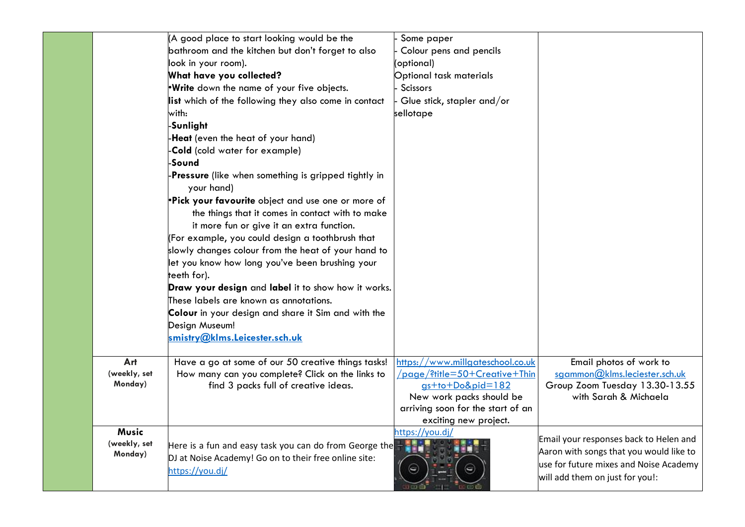|              | (A good place to start looking would be the                        | Some paper                                                    |                                                                           |
|--------------|--------------------------------------------------------------------|---------------------------------------------------------------|---------------------------------------------------------------------------|
|              | bathroom and the kitchen but don't forget to also                  | Colour pens and pencils                                       |                                                                           |
|              | look in your room).                                                | (optional)                                                    |                                                                           |
|              | What have you collected?                                           | Optional task materials                                       |                                                                           |
|              | .Write down the name of your five objects.                         | <b>Scissors</b>                                               |                                                                           |
|              | list which of the following they also come in contact              | Glue stick, stapler and/or                                    |                                                                           |
|              | with:                                                              | sellotape                                                     |                                                                           |
|              | -Sunlight                                                          |                                                               |                                                                           |
|              | -Heat (even the heat of your hand)                                 |                                                               |                                                                           |
|              | -Cold (cold water for example)                                     |                                                               |                                                                           |
|              | -Sound                                                             |                                                               |                                                                           |
|              | -Pressure (like when something is gripped tightly in<br>your hand) |                                                               |                                                                           |
|              | .Pick your favourite object and use one or more of                 |                                                               |                                                                           |
|              | the things that it comes in contact with to make                   |                                                               |                                                                           |
|              | it more fun or give it an extra function.                          |                                                               |                                                                           |
|              | (For example, you could design a toothbrush that                   |                                                               |                                                                           |
|              | slowly changes colour from the heat of your hand to                |                                                               |                                                                           |
|              | let you know how long you've been brushing your                    |                                                               |                                                                           |
|              | teeth for).                                                        |                                                               |                                                                           |
|              | Draw your design and label it to show how it works.                |                                                               |                                                                           |
|              | These labels are known as annotations.                             |                                                               |                                                                           |
|              | Colour in your design and share it Sim and with the                |                                                               |                                                                           |
|              | Design Museum!                                                     |                                                               |                                                                           |
|              | <u>smistry@klms.Leicester.sch.uk</u>                               |                                                               |                                                                           |
| Art          | Have a go at some of our 50 creative things tasks!                 | https://www.millgateschool.co.uk                              | Email photos of work to                                                   |
| (weekly, set | How many can you complete? Click on the links to                   | /page/?title=50+Creative+Thin                                 | sgammon@klms.leciester.sch.uk                                             |
| Monday)      | find 3 packs full of creative ideas.                               | $gs + to + Do8pid = 182$                                      | Group Zoom Tuesday 13.30-13.55<br>with Sarah & Michaela                   |
|              |                                                                    | New work packs should be<br>arriving soon for the start of an |                                                                           |
|              |                                                                    | exciting new project.                                         |                                                                           |
| Music        |                                                                    | https://you.dj/                                               |                                                                           |
| (weekly, set | Here is a fun and easy task you can do from George the             |                                                               | Email your responses back to Helen and                                    |
| Monday)      | DJ at Noise Academy! Go on to their free online site:              |                                                               | Aaron with songs that you would like to                                   |
|              | https://you.dj/                                                    |                                                               | use for future mixes and Noise Academy<br>will add them on just for you!: |
|              |                                                                    |                                                               |                                                                           |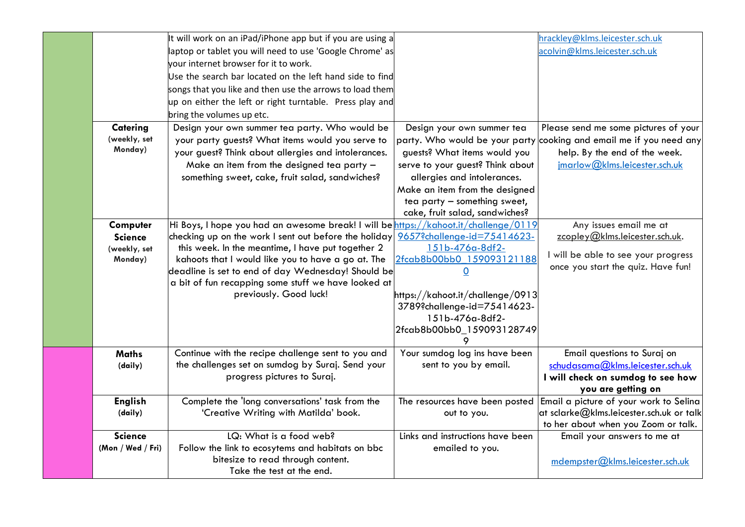|                   | It will work on an iPad/iPhone app but if you are using a                            |                                  | hrackley@klms.leicester.sch.uk                                      |
|-------------------|--------------------------------------------------------------------------------------|----------------------------------|---------------------------------------------------------------------|
|                   | laptop or tablet you will need to use 'Google Chrome' as                             |                                  | acolvin@klms.leicester.sch.uk                                       |
|                   | vour internet browser for it to work.                                                |                                  |                                                                     |
|                   | Use the search bar located on the left hand side to find                             |                                  |                                                                     |
|                   | songs that you like and then use the arrows to load them                             |                                  |                                                                     |
|                   | up on either the left or right turntable. Press play and                             |                                  |                                                                     |
|                   | bring the volumes up etc.                                                            |                                  |                                                                     |
| <b>Catering</b>   | Design your own summer tea party. Who would be                                       | Design your own summer tea       | Please send me some pictures of your                                |
| (weekly, set      | your party guests? What items would you serve to                                     |                                  | party. Who would be your party cooking and email me if you need any |
| Monday)           | your guest? Think about allergies and intolerances.                                  | guests? What items would you     | help. By the end of the week.                                       |
|                   | Make an item from the designed tea party $-$                                         | serve to your guest? Think about | jmarlow@klms.leicester.sch.uk                                       |
|                   | something sweet, cake, fruit salad, sandwiches?                                      | allergies and intolerances.      |                                                                     |
|                   |                                                                                      | Make an item from the designed   |                                                                     |
|                   |                                                                                      | tea party - something sweet,     |                                                                     |
|                   |                                                                                      | cake, fruit salad, sandwiches?   |                                                                     |
| Computer          | Hi Boys, I hope you had an awesome break! I will be https://kahoot.it/challenge/0119 |                                  | Any issues email me at                                              |
| <b>Science</b>    | checking up on the work I sent out before the holiday                                | 9657?challenge-id=75414623-      | zcopley@klms.leicester.sch.uk.                                      |
| (weekly, set      | this week. In the meantime, I have put together 2                                    | 151b-476a-8df2-                  | I will be able to see your progress                                 |
| Monday)           | kahoots that I would like you to have a go at. The                                   | 2fcab8b00bb0 159093121188        | once you start the quiz. Have fun!                                  |
|                   | deadline is set to end of day Wednesday! Should be                                   | $\overline{0}$                   |                                                                     |
|                   | a bit of fun recapping some stuff we have looked at                                  |                                  |                                                                     |
|                   | previously. Good luck!                                                               | https://kahoot.it/challenge/0913 |                                                                     |
|                   |                                                                                      | 3789?challenge-id=75414623-      |                                                                     |
|                   |                                                                                      | 151b-476a-8df2-                  |                                                                     |
|                   |                                                                                      | 2fcab8b00bb0_159093128749        |                                                                     |
| <b>Maths</b>      | Continue with the recipe challenge sent to you and                                   | Your sumdog log ins have been    | Email questions to Suraj on                                         |
| (daily)           | the challenges set on sumdog by Suraj. Send your                                     | sent to you by email.            | schudasama@klms.leicester.sch.uk                                    |
|                   | progress pictures to Suraj.                                                          |                                  | I will check on sumdog to see how                                   |
|                   |                                                                                      |                                  | you are getting on                                                  |
| <b>English</b>    | Complete the 'long conversations' task from the                                      | The resources have been posted   | Email a picture of your work to Selina                              |
| (daily)           | 'Creative Writing with Matilda' book.                                                | out to you.                      | at sclarke@klms.leicester.sch.uk or talk                            |
|                   |                                                                                      |                                  | to her about when you Zoom or talk.                                 |
| <b>Science</b>    | LQ: What is a food web?                                                              | Links and instructions have been | Email your answers to me at                                         |
| (Mon / Wed / Fri) | Follow the link to ecosytems and habitats on bbc                                     | emailed to you.                  |                                                                     |
|                   | bitesize to read through content.                                                    |                                  | mdempster@klms.leicester.sch.uk                                     |
|                   | Take the test at the end.                                                            |                                  |                                                                     |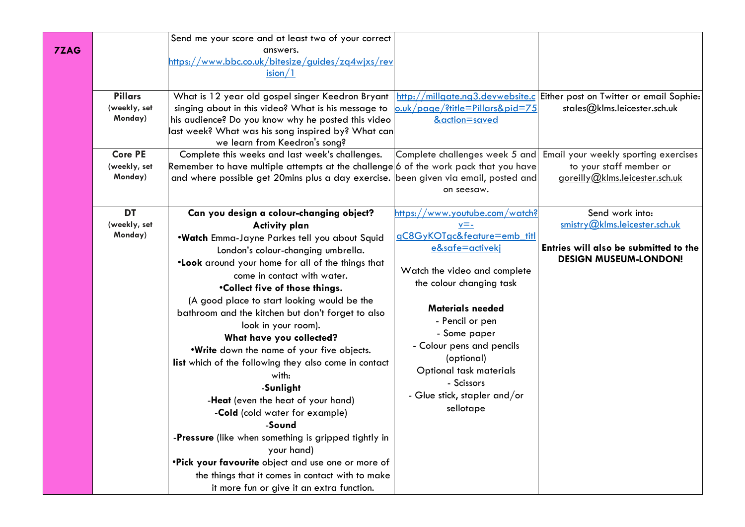| 7ZAG | <b>Pillars</b><br>(weekly, set<br>Monday)<br><b>Core PE</b><br>(weekly, set<br>Monday) | Send me your score and at least two of your correct<br>answers.<br>https://www.bbc.co.uk/bitesize/guides/zg4wjxs/rev<br>ision/1<br>What is 12 year old gospel singer Keedron Bryant<br>singing about in this video? What is his message to<br>his audience? Do you know why he posted this video<br>last week? What was his song inspired by? What can<br>we learn from Keedron's song?<br>Complete this weeks and last week's challenges.<br>Remember to have multiple attempts at the challenge 6 of the work pack that you have<br>and where possible get 20mins plus a day exercise. been given via email, posted and                                                                                                                                                                                                                                                        | o.uk/page/?title=Pillars&pid=75<br>&action=saved                                                                                                                                                                                                                                                                                                                 | http://millgate.ng3.devwebsite.c Either post on Twitter or email Sophie:<br>stales@klms.leicester.sch.uk<br>Complete challenges week 5 and Email your weekly sporting exercises<br>to your staff member or<br>goreilly@klms.leicester.sch.uk |
|------|----------------------------------------------------------------------------------------|----------------------------------------------------------------------------------------------------------------------------------------------------------------------------------------------------------------------------------------------------------------------------------------------------------------------------------------------------------------------------------------------------------------------------------------------------------------------------------------------------------------------------------------------------------------------------------------------------------------------------------------------------------------------------------------------------------------------------------------------------------------------------------------------------------------------------------------------------------------------------------|------------------------------------------------------------------------------------------------------------------------------------------------------------------------------------------------------------------------------------------------------------------------------------------------------------------------------------------------------------------|----------------------------------------------------------------------------------------------------------------------------------------------------------------------------------------------------------------------------------------------|
|      | <b>DT</b><br>(weekly, set<br>Monday)                                                   | Can you design a colour-changing object?<br><b>Activity plan</b><br>.Watch Emma-Jayne Parkes tell you about Squid<br>London's colour-changing umbrella.<br>.Look around your home for all of the things that<br>come in contact with water.<br>.Collect five of those things.<br>(A good place to start looking would be the<br>bathroom and the kitchen but don't forget to also<br>look in your room).<br>What have you collected?<br>.Write down the name of your five objects.<br>list which of the following they also come in contact<br>with:<br>-Sunlight<br>-Heat (even the heat of your hand)<br>-Cold (cold water for example)<br>-Sound<br>-Pressure (like when something is gripped tightly in<br>your hand)<br>.Pick your favourite object and use one or more of<br>the things that it comes in contact with to make<br>it more fun or give it an extra function. | on seesaw.<br>https://www.youtube.com/watch?<br>v=-<br>gC8GyKOTgc&feature=emb_titl<br>e&safe=activeki<br>Watch the video and complete<br>the colour changing task<br><b>Materials needed</b><br>- Pencil or pen<br>- Some paper<br>- Colour pens and pencils<br>(optional)<br>Optional task materials<br>- Scissors<br>- Glue stick, stapler and/or<br>sellotape | Send work into:<br>smistry@klms.leicester.sch.uk<br>Entries will also be submitted to the<br><b>DESIGN MUSEUM-LONDON!</b>                                                                                                                    |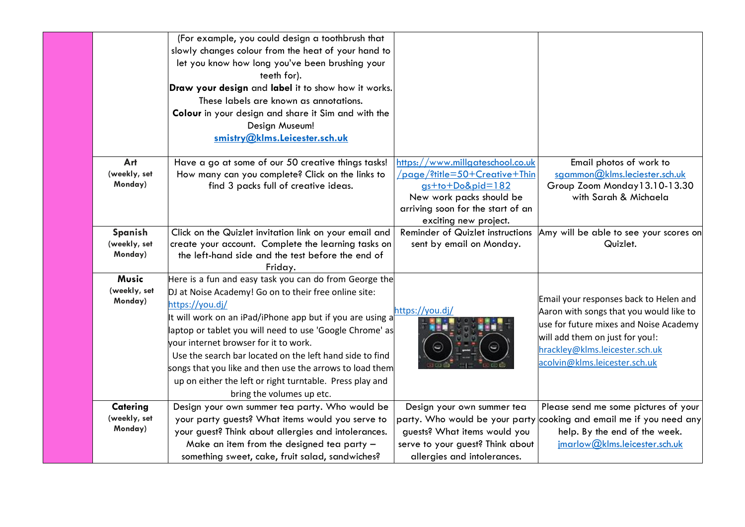|                                         | (For example, you could design a toothbrush that<br>slowly changes colour from the heat of your hand to<br>let you know how long you've been brushing your<br>teeth for).<br>Draw your design and label it to show how it works.<br>These labels are known as annotations.<br>Colour in your design and share it Sim and with the<br>Design Museum!<br>smistry@klms.Leicester.sch.uk                                                                                                                                  |                                                                                                                                                                                 |                                                                                                                                                                                                                                   |
|-----------------------------------------|-----------------------------------------------------------------------------------------------------------------------------------------------------------------------------------------------------------------------------------------------------------------------------------------------------------------------------------------------------------------------------------------------------------------------------------------------------------------------------------------------------------------------|---------------------------------------------------------------------------------------------------------------------------------------------------------------------------------|-----------------------------------------------------------------------------------------------------------------------------------------------------------------------------------------------------------------------------------|
| Art<br>(weekly, set<br>Monday)          | Have a go at some of our 50 creative things tasks!<br>How many can you complete? Click on the links to<br>find 3 packs full of creative ideas.                                                                                                                                                                                                                                                                                                                                                                        | https://www.millgateschool.co.uk<br>/page/?title=50+Creative+Thin<br>gs+to+Do&pid=182<br>New work packs should be<br>arriving soon for the start of an<br>exciting new project. | Email photos of work to<br>sgammon@klms.leciester.sch.uk<br>Group Zoom Monday 13.10-13.30<br>with Sarah & Michaela                                                                                                                |
| Spanish<br>(weekly, set<br>Monday)      | Click on the Quizlet invitation link on your email and<br>create your account. Complete the learning tasks on<br>the left-hand side and the test before the end of<br>Friday.                                                                                                                                                                                                                                                                                                                                         | Reminder of Quizlet instructions<br>sent by email on Monday.                                                                                                                    | Amy will be able to see your scores on<br>Quizlet.                                                                                                                                                                                |
| <b>Music</b><br>(weekly, set<br>Monday) | Here is a fun and easy task you can do from George the<br>DJ at Noise Academy! Go on to their free online site:<br>https://you.dj/<br>It will work on an iPad/iPhone app but if you are using a<br>laptop or tablet you will need to use 'Google Chrome' as<br>vour internet browser for it to work.<br>Use the search bar located on the left hand side to find<br>songs that you like and then use the arrows to load them<br>up on either the left or right turntable. Press play and<br>bring the volumes up etc. | https://you.dj/<br>Θ                                                                                                                                                            | Email your responses back to Helen and<br>Aaron with songs that you would like to<br>use for future mixes and Noise Academy<br>will add them on just for you!:<br>hrackley@klms.leicester.sch.uk<br>acolvin@klms.leicester.sch.uk |
| Catering<br>(weekly, set<br>Monday)     | Design your own summer tea party. Who would be<br>your party guests? What items would you serve to<br>your guest? Think about allergies and intolerances.<br>Make an item from the designed tea party -<br>something sweet, cake, fruit salad, sandwiches?                                                                                                                                                                                                                                                            | Design your own summer tea<br>guests? What items would you<br>serve to your guest? Think about<br>allergies and intolerances.                                                   | Please send me some pictures of your<br>party. Who would be your party cooking and email me if you need any<br>help. By the end of the week.<br>imarlow@klms.leicester.sch.uk                                                     |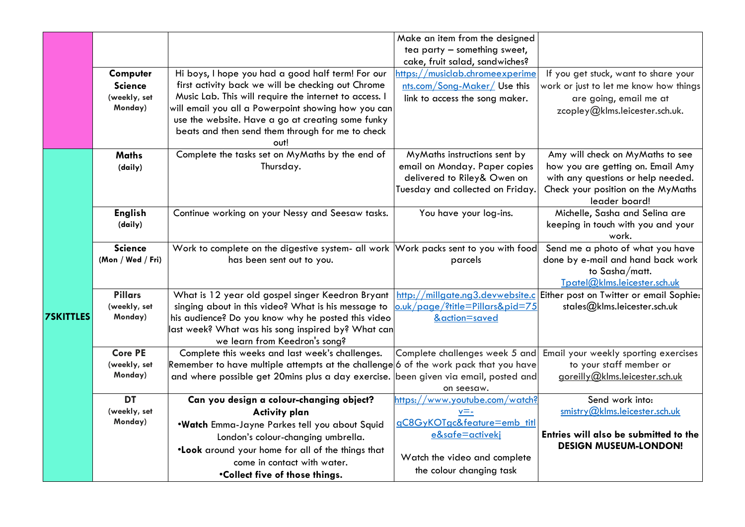|                  |                                                       |                                                                                                                                                                                                                                                                                                                                           | Make an item from the designed<br>tea party - something sweet,<br>cake, fruit salad, sandwiches?                                 |                                                                                                                                                                    |
|------------------|-------------------------------------------------------|-------------------------------------------------------------------------------------------------------------------------------------------------------------------------------------------------------------------------------------------------------------------------------------------------------------------------------------------|----------------------------------------------------------------------------------------------------------------------------------|--------------------------------------------------------------------------------------------------------------------------------------------------------------------|
|                  | Computer<br><b>Science</b><br>(weekly, set<br>Monday) | Hi boys, I hope you had a good half term! For our<br>first activity back we will be checking out Chrome<br>Music Lab. This will require the internet to access. I<br>will email you all a Powerpoint showing how you can<br>use the website. Have a go at creating some funky<br>beats and then send them through for me to check<br>out! | nttps://musiclab.chromeexperime<br>nts.com/Song-Maker/ Use this<br>link to access the song maker.                                | If you get stuck, want to share your<br>work or just to let me know how things<br>are going, email me at<br>zcopley@klms.leicester.sch.uk.                         |
|                  | <b>Maths</b><br>(daily)                               | Complete the tasks set on MyMaths by the end of<br>Thursday.                                                                                                                                                                                                                                                                              | MyMaths instructions sent by<br>email on Monday. Paper copies<br>delivered to Riley& Owen on<br>Tuesday and collected on Friday. | Amy will check on MyMaths to see<br>how you are getting on. Email Amy<br>with any questions or help needed.<br>Check your position on the MyMaths<br>leader board! |
| <b>7SKITTLES</b> | <b>English</b><br>(daily)                             | Continue working on your Nessy and Seesaw tasks.                                                                                                                                                                                                                                                                                          | You have your log-ins.                                                                                                           | Michelle, Sasha and Selina are<br>keeping in touch with you and your<br>work.                                                                                      |
|                  | <b>Science</b><br>(Mon / Wed / Fri)                   | Work to complete on the digestive system- all work   Work packs sent to you with food<br>has been sent out to you.                                                                                                                                                                                                                        | parcels                                                                                                                          | Send me a photo of what you have<br>done by e-mail and hand back work<br>to Sasha/matt.<br>Tpatel@klms.leicester.sch.uk                                            |
|                  | <b>Pillars</b><br>(weekly, set<br>Monday)             | What is 12 year old gospel singer Keedron Bryant<br>singing about in this video? What is his message to<br>his audience? Do you know why he posted this video<br>last week? What was his song inspired by? What can<br>we learn from Keedron's song?                                                                                      | o.uk/page/?title=Pillars&pid=75<br>&action=saved                                                                                 | http://millgate.ng3.devwebsite.c Either post on Twitter or email Sophie:<br>stales@klms.leicester.sch.uk                                                           |
|                  | <b>Core PE</b><br>(weekly, set<br>Monday)             | Complete this weeks and last week's challenges.<br>Remember to have multiple attempts at the challenge 6 of the work pack that you have<br>and where possible get 20mins plus a day exercise. been given via email, posted and                                                                                                            | Complete challenges week 5 and<br>on seesaw.                                                                                     | Email your weekly sporting exercises<br>to your staff member or<br>goreilly@klms.leicester.sch.uk                                                                  |
|                  | <b>DT</b><br>(weekly, set<br>Monday)                  | Can you design a colour-changing object?<br><b>Activity plan</b><br>.Watch Emma-Jayne Parkes tell you about Squid<br>London's colour-changing umbrella.<br>.Look around your home for all of the things that                                                                                                                              | https://www.youtube.com/watch?<br>v=-<br>qC8GyKOTgc&feature=emb_titl<br>e&safe=activekj                                          | Send work into:<br>smistry@klms.leicester.sch.uk<br>Entries will also be submitted to the<br><b>DESIGN MUSEUM-LONDON!</b>                                          |
|                  |                                                       | come in contact with water.<br>.Collect five of those things.                                                                                                                                                                                                                                                                             | Watch the video and complete<br>the colour changing task                                                                         |                                                                                                                                                                    |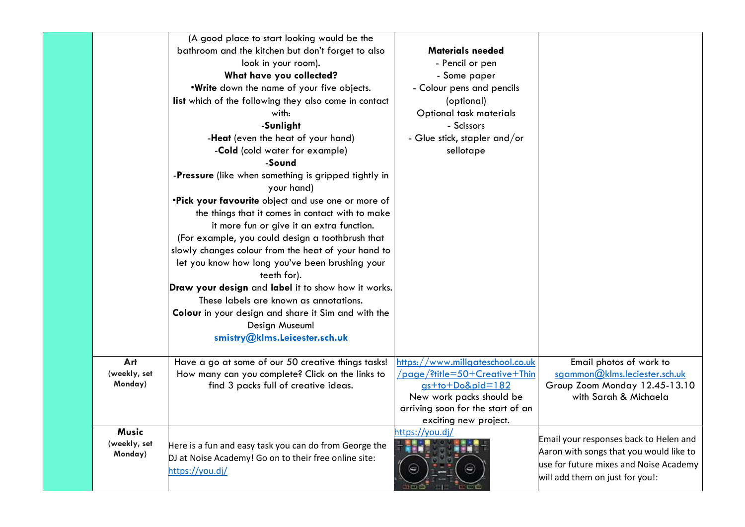|              | (A good place to start looking would be the                        |                                                               |                                                        |
|--------------|--------------------------------------------------------------------|---------------------------------------------------------------|--------------------------------------------------------|
|              | bathroom and the kitchen but don't forget to also                  | <b>Materials needed</b>                                       |                                                        |
|              | look in your room).                                                | - Pencil or pen                                               |                                                        |
|              | What have you collected?                                           | - Some paper                                                  |                                                        |
|              | .Write down the name of your five objects.                         | - Colour pens and pencils                                     |                                                        |
|              | list which of the following they also come in contact              | (optional)                                                    |                                                        |
|              | with:                                                              | Optional task materials                                       |                                                        |
|              | -Sunlight                                                          | - Scissors                                                    |                                                        |
|              | -Heat (even the heat of your hand)                                 | - Glue stick, stapler and/or                                  |                                                        |
|              | -Cold (cold water for example)                                     | sellotape                                                     |                                                        |
|              | -Sound                                                             |                                                               |                                                        |
|              | -Pressure (like when something is gripped tightly in<br>your hand) |                                                               |                                                        |
|              | .Pick your favourite object and use one or more of                 |                                                               |                                                        |
|              | the things that it comes in contact with to make                   |                                                               |                                                        |
|              | it more fun or give it an extra function.                          |                                                               |                                                        |
|              | (For example, you could design a toothbrush that                   |                                                               |                                                        |
|              | slowly changes colour from the heat of your hand to                |                                                               |                                                        |
|              | let you know how long you've been brushing your                    |                                                               |                                                        |
|              | teeth for).                                                        |                                                               |                                                        |
|              | Draw your design and label it to show how it works.                |                                                               |                                                        |
|              | These labels are known as annotations.                             |                                                               |                                                        |
|              | Colour in your design and share it Sim and with the                |                                                               |                                                        |
|              | Design Museum!                                                     |                                                               |                                                        |
|              | smistry@klms.Leicester.sch.uk                                      |                                                               |                                                        |
|              |                                                                    |                                                               |                                                        |
| Art          | Have a go at some of our 50 creative things tasks!                 | https://www.millgateschool.co.uk                              | Email photos of work to                                |
| (weekly, set | How many can you complete? Click on the links to                   | /page/?title=50+Creative+Thin                                 | sgammon@klms.leciester.sch.uk                          |
| Monday)      | find 3 packs full of creative ideas.                               | $gs + to + Do&pid = 182$                                      | Group Zoom Monday 12.45-13.10<br>with Sarah & Michaela |
|              |                                                                    | New work packs should be<br>arriving soon for the start of an |                                                        |
|              |                                                                    | exciting new project.                                         |                                                        |
| <b>Music</b> |                                                                    | https://you.dj/                                               |                                                        |
| (weekly, set | Here is a fun and easy task you can do from George the             |                                                               | Email your responses back to Helen and                 |
| Monday)      | DJ at Noise Academy! Go on to their free online site:              |                                                               | Aaron with songs that you would like to                |
|              | https://you.dj/                                                    |                                                               | use for future mixes and Noise Academy                 |
|              |                                                                    |                                                               | will add them on just for you!:                        |